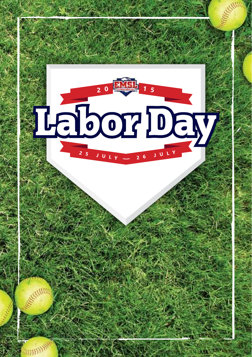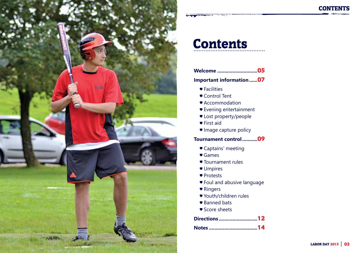

# **Contents**

|  | Welcome 05 |
|--|------------|
|--|------------|

**Important information......**07

- $\blacktriangleright$  Facilities
- Control Tent
- Accommodation
- Evening entertainment
- **Lost property/people**
- First aid
- Image capture policy

## **Tournament control...........**09

- Captains' meeting
- Games
- Tournament rules
- **Umpires**
- Protests
- Foul and abusive language
- Ringers
- Youth/children rules
- Banned bats
- Score sheets

**Directions ............................**12

**CONTENTS**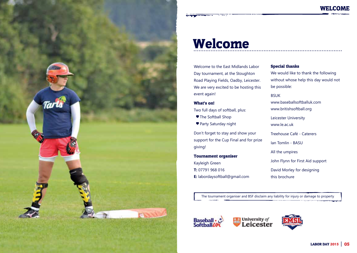

## Welcome

Welcome to the East Midlands Labor Day tournament, at the Stoughton Road Playing Fields, Oadby, Leicester. We are very excited to be hosting this event again!

### What's on!

Two full days of softball, plus:

- The Softball Shop
- Party Saturday night

Don't forget to stay and show your support for the Cup Final and for prize giving!

### Tournament organiser

Kayleigh Green **T:** 07791 968 016 **E:** labordaysoftball@gmail.com

## Special thanks

We would like to thank the following without whose help this day would not be possible:

**WELCOME** 

### BSUK

www.baseballsoftballuk.com www.britishsoftball.org

Leicester University

www.le.ac.uk

Treehouse Café - Caterers

Ian Tomlin - BASU

All the umpires

John Flynn for First Aid support

David Morley for designing this brochure

The tournament organiser and BSF disclaim any liability for injury or damage to property



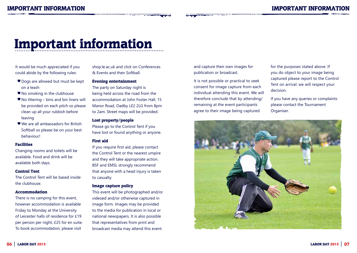## Important information

It would be much appreciated if you could abide by the following rules:

- Dogs are allowed but must be kept on a leash
- No smoking in the clubhouse
- $\blacktriangleright$  No littering bins and bin liners will be provided on each pitch so please clean up all your rubbish before leaving
- We are all ambassadors for British Softball so please be on your best behaviour!

### Facilities

Changing rooms and toilets will be available. Food and drink will be available both days.

### Control Tent

The Control Tent will be based inside the clubhouse.

### Accommodation

There is no camping for this event, however accommodation is available Friday to Monday at the University of Leicester halls of residence for £19 per person per night, £25 for en suite. To book accommodation, please visit

shop.le.ac.uk and click on Conferences & Events and then Softball.

### Evening entertainment

The party on Saturday night is being held across the road from the accommodation at John Foster Hall, 15 Manor Road, Oadby LE2 2LG from 8pm to 2am. Street maps will be provided.

### Lost property/people

Please go to the Control Tent if you have lost or found anything or anyone.

### First aid

If you require first aid, please contact the Control Tent or the nearest umpire and they will take appropriate action. BSF and EMSL strongly recommend that anyone with a head injury is taken to casualty.

### Image capture policy

This event will be photographed and/or videoed and/or otherwise captured in image form. Images may be provided to the media for publication in local or national newspapers. It is also possible that representatives from print and broadcast media may attend this event

and capture their own images for publication or broadcast.

It is not possible or practical to seek consent for image capture from each individual attending this event. We will therefore conclude that by attending/ remaining at the event participants agree to their image being captured

for the purposes stated above. If you do object to your image being captured please report to the Control Tent on arrival: we will respect your decision.

If you have any queries or complaints please contact the Tournament Organiser.

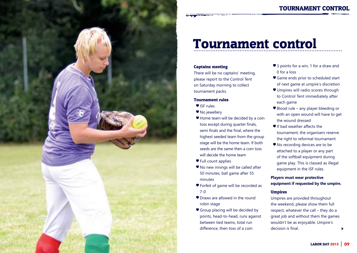

## Tournament control

### Captains meeting

There will be no captains' meeting, please report to the Control Tent on Saturday morning to collect tournament packs.

### Tournament rules

- ISF rules
- No jewellery
- Home team will be decided by a coin toss except during quarter finals, semi finals and the final, where the highest seeded team from the group stage will be the home team. If both seeds are the same then a coin toss will decide the home team
- Full count applies
- No new innings will be called after 50 minutes, ball game after 55 minutes
- Forfeit of game will be recorded as 7-0
- Draws are allowed in the round robin stage
- Group placing will be decided by points, head-to-head, runs against between tied teams, total run difference, then toss of a coin
- 3 points for a win, 1 for a draw and 0 for a loss
- Game ends prior to scheduled start of next game at umpire's discretion
- Umpires will radio scores through to Control Tent immediately after each game
- Blood rule any player bleeding or with an open wound will have to get the wound dressed
- If bad weather affects the tournament, the organisers reserve the right to reformat tournament
- No recording devices are to be attached to a player or any part of the softball equipment during game play. This is classed as illegal equipment in the ISF rules.

### **Players must wear protective equipment if requested by the umpire.**

### Umpires

Umpires are provided throughout the weekend, please show them full respect, whatever the call – they do a great job and without them the games wouldn't be as enjoyable. Umpire's decision is final.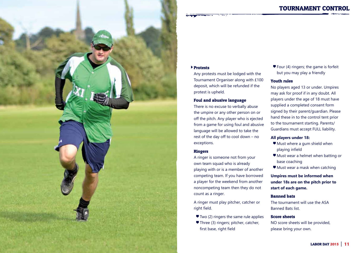



### Protests

Any protests must be lodged with the Tournament Organiser along with £100 deposit, which will be refunded if the protest is upheld.

### Foul and abusive language

There is no excuse to verbally abuse the umpire or any other person on or off the pitch. Any player who is ejected from a game for using foul and abusive language will be allowed to take the rest of the day off to cool down – no exceptions.

### Ringers

A ringer is someone not from your own team squad who is already playing with or is a member of another competing team. If you have borrowed a player for the weekend from another noncompeting team then they do not count as a ringer.

A ringer must play pitcher, catcher or right field.

- Two (2) ringers the same rule applies
- Three (3) ringers; pitcher, catcher, first base, right field

 $\blacktriangleright$  Four (4) ringers; the game is forfeit but you may play a friendly

### Youth rules

No players aged 13 or under. Umpires may ask for proof if in any doubt. All players under the age of 18 must have supplied a completed consent form signed by their parent/guardian. Please hand these in to the control tent prior to the tournament starting. Parents/ Guardians must accept FULL liability.

### **All players under 18:**

- Must where a gum shield when playing infield
- Must wear a helmet when batting or base coaching
- Must wear a mask when catching

**Umpires must be informed when under 18s are on the pitch prior to start of each game.**

### Banned bats

The tournament will use the ASA Banned Bats list.

### Score sheets

NO score sheets will be provided, please bring your own.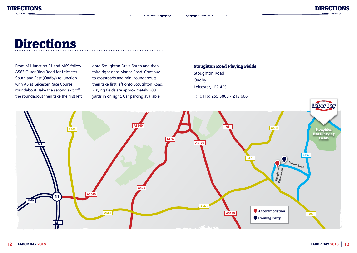# **Directions**

From M1 Junction 21 and M69 follow A563 Outer Ring Road for Leicester South and East (Oadby) to junction with A6 at Leicester Race Course roundabout. Take the second exit off the roundabout then take the first left

onto Stoughton Drive South and then third right onto Manor Road. Continue to crossroads and mini-roundabouts then take first left onto Stoughton Road. Playing fields are approximately 300 yards in on right. Car parking available.

₹-

Stoughton Road Playing Fields Stoughton Road **Oadby** Leicester, LE2 4FS **T:** (0116) 255 3860 / 212 6661

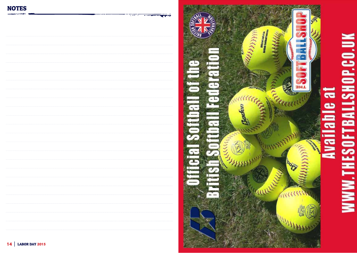